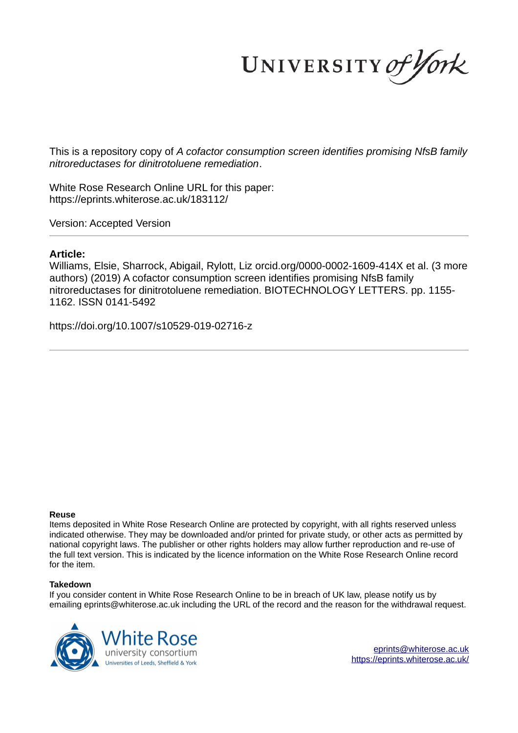UNIVERSITY of York

This is a repository copy of *A cofactor consumption screen identifies promising NfsB family nitroreductases for dinitrotoluene remediation*.

White Rose Research Online URL for this paper: https://eprints.whiterose.ac.uk/183112/

Version: Accepted Version

## **Article:**

Williams, Elsie, Sharrock, Abigail, Rylott, Liz orcid.org/0000-0002-1609-414X et al. (3 more authors) (2019) A cofactor consumption screen identifies promising NfsB family nitroreductases for dinitrotoluene remediation. BIOTECHNOLOGY LETTERS. pp. 1155- 1162. ISSN 0141-5492

https://doi.org/10.1007/s10529-019-02716-z

#### **Reuse**

Items deposited in White Rose Research Online are protected by copyright, with all rights reserved unless indicated otherwise. They may be downloaded and/or printed for private study, or other acts as permitted by national copyright laws. The publisher or other rights holders may allow further reproduction and re-use of the full text version. This is indicated by the licence information on the White Rose Research Online record for the item.

#### **Takedown**

If you consider content in White Rose Research Online to be in breach of UK law, please notify us by emailing eprints@whiterose.ac.uk including the URL of the record and the reason for the withdrawal request.



eprints@whiterose.ac.uk https://eprints.whiterose.ac.uk/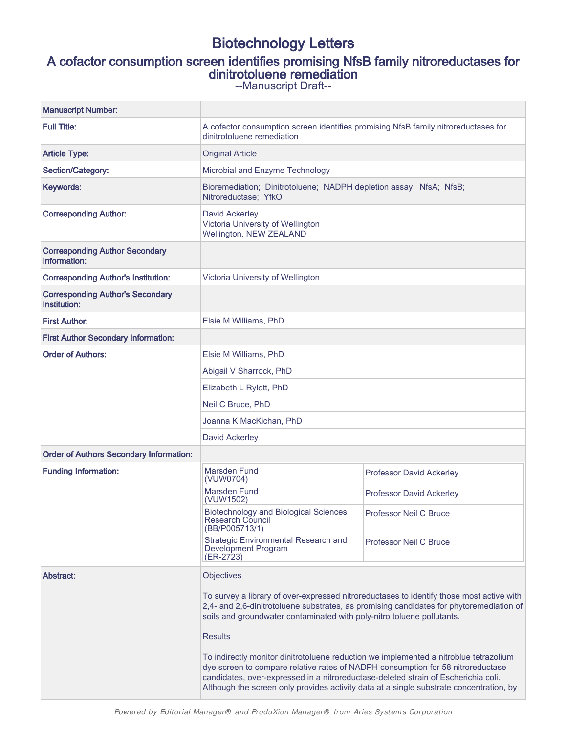# Biotechnology Letters

# A cofactor consumption screen identifies promising NfsB family nitroreductases for dinitrotoluene remediation

--Manuscript Draft--

| <b>Manuscript Number:</b>                               |                                                                                                                                                                                                                                                                                                                                                           |                                 |  |
|---------------------------------------------------------|-----------------------------------------------------------------------------------------------------------------------------------------------------------------------------------------------------------------------------------------------------------------------------------------------------------------------------------------------------------|---------------------------------|--|
| <b>Full Title:</b>                                      | A cofactor consumption screen identifies promising NfsB family nitroreductases for<br>dinitrotoluene remediation                                                                                                                                                                                                                                          |                                 |  |
| <b>Article Type:</b>                                    | <b>Original Article</b>                                                                                                                                                                                                                                                                                                                                   |                                 |  |
| Section/Category:                                       | Microbial and Enzyme Technology                                                                                                                                                                                                                                                                                                                           |                                 |  |
| Keywords:                                               | Bioremediation; Dinitrotoluene; NADPH depletion assay; NfsA; NfsB;<br>Nitroreductase; YfkO                                                                                                                                                                                                                                                                |                                 |  |
| <b>Corresponding Author:</b>                            | David Ackerley<br>Victoria University of Wellington<br>Wellington, NEW ZEALAND                                                                                                                                                                                                                                                                            |                                 |  |
| <b>Corresponding Author Secondary</b><br>Information:   |                                                                                                                                                                                                                                                                                                                                                           |                                 |  |
| <b>Corresponding Author's Institution:</b>              | Victoria University of Wellington                                                                                                                                                                                                                                                                                                                         |                                 |  |
| <b>Corresponding Author's Secondary</b><br>Institution: |                                                                                                                                                                                                                                                                                                                                                           |                                 |  |
| <b>First Author:</b>                                    | Elsie M Williams, PhD                                                                                                                                                                                                                                                                                                                                     |                                 |  |
| <b>First Author Secondary Information:</b>              |                                                                                                                                                                                                                                                                                                                                                           |                                 |  |
| <b>Order of Authors:</b>                                | Elsie M Williams, PhD                                                                                                                                                                                                                                                                                                                                     |                                 |  |
|                                                         | Abigail V Sharrock, PhD                                                                                                                                                                                                                                                                                                                                   |                                 |  |
|                                                         | Elizabeth L Rylott, PhD                                                                                                                                                                                                                                                                                                                                   |                                 |  |
|                                                         | Neil C Bruce, PhD                                                                                                                                                                                                                                                                                                                                         |                                 |  |
|                                                         | Joanna K MacKichan, PhD                                                                                                                                                                                                                                                                                                                                   |                                 |  |
|                                                         | David Ackerley                                                                                                                                                                                                                                                                                                                                            |                                 |  |
| <b>Order of Authors Secondary Information:</b>          |                                                                                                                                                                                                                                                                                                                                                           |                                 |  |
| <b>Funding Information:</b>                             | <b>Marsden Fund</b><br>(VUW0704)                                                                                                                                                                                                                                                                                                                          | Professor David Ackerley        |  |
|                                                         | <b>Marsden Fund</b><br>(VUW1502)                                                                                                                                                                                                                                                                                                                          | <b>Professor David Ackerley</b> |  |
|                                                         | <b>Biotechnology and Biological Sciences</b><br>Research Council<br>(BB/P005713/1)                                                                                                                                                                                                                                                                        | Professor Neil C Bruce          |  |
|                                                         | <b>Strategic Environmental Research and</b><br>Development Program<br>$(ER-2723)$                                                                                                                                                                                                                                                                         | Professor Neil C Bruce          |  |
| Abstract:                                               | <b>Objectives</b><br>To survey a library of over-expressed nitroreductases to identify those most active with<br>2,4- and 2,6-dinitrotoluene substrates, as promising candidates for phytoremediation of<br>soils and groundwater contaminated with poly-nitro toluene pollutants.                                                                        |                                 |  |
|                                                         |                                                                                                                                                                                                                                                                                                                                                           |                                 |  |
|                                                         | <b>Results</b>                                                                                                                                                                                                                                                                                                                                            |                                 |  |
|                                                         | To indirectly monitor dinitrotoluene reduction we implemented a nitroblue tetrazolium<br>dye screen to compare relative rates of NADPH consumption for 58 nitroreductase<br>candidates, over-expressed in a nitroreductase-deleted strain of Escherichia coli.<br>Although the screen only provides activity data at a single substrate concentration, by |                                 |  |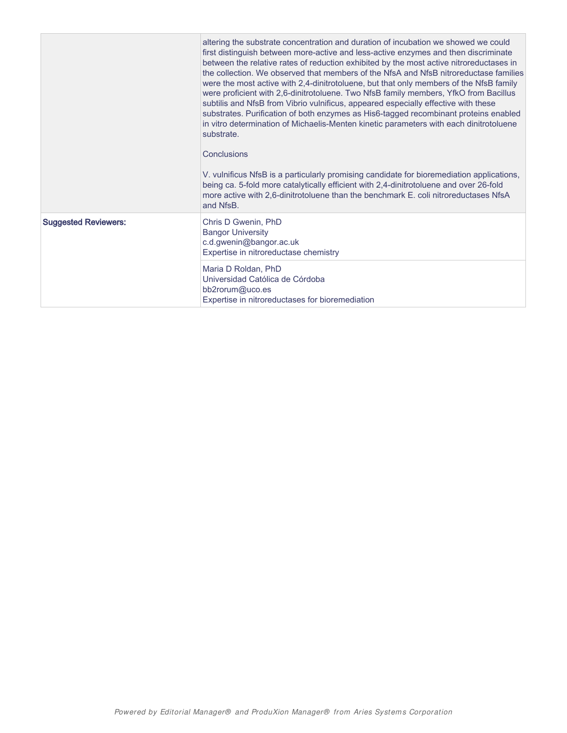|                             | altering the substrate concentration and duration of incubation we showed we could<br>first distinguish between more-active and less-active enzymes and then discriminate<br>between the relative rates of reduction exhibited by the most active nitroreductases in<br>the collection. We observed that members of the NfsA and NfsB nitroreductase families<br>were the most active with 2,4-dinitrotoluene, but that only members of the NfsB family<br>were proficient with 2,6-dinitrotoluene. Two NfsB family members, YfkO from Bacillus<br>subtilis and NfsB from Vibrio vulnificus, appeared especially effective with these<br>substrates. Purification of both enzymes as His6-tagged recombinant proteins enabled<br>in vitro determination of Michaelis-Menten kinetic parameters with each dinitrotoluene<br>substrate.<br>Conclusions<br>V. vulnificus NfsB is a particularly promising candidate for bioremediation applications,<br>being ca. 5-fold more catalytically efficient with 2,4-dinitrotoluene and over 26-fold |
|-----------------------------|---------------------------------------------------------------------------------------------------------------------------------------------------------------------------------------------------------------------------------------------------------------------------------------------------------------------------------------------------------------------------------------------------------------------------------------------------------------------------------------------------------------------------------------------------------------------------------------------------------------------------------------------------------------------------------------------------------------------------------------------------------------------------------------------------------------------------------------------------------------------------------------------------------------------------------------------------------------------------------------------------------------------------------------------|
|                             | more active with 2,6-dinitrotoluene than the benchmark E. coli nitroreductases NfsA<br>and NfsB.                                                                                                                                                                                                                                                                                                                                                                                                                                                                                                                                                                                                                                                                                                                                                                                                                                                                                                                                            |
| <b>Suggested Reviewers:</b> | Chris D Gwenin, PhD<br><b>Bangor University</b><br>c.d.gwenin@bangor.ac.uk<br>Expertise in nitroreductase chemistry                                                                                                                                                                                                                                                                                                                                                                                                                                                                                                                                                                                                                                                                                                                                                                                                                                                                                                                         |
|                             | Maria D Roldan, PhD<br>Universidad Católica de Córdoba<br>bb2rorum@uco.es<br>Expertise in nitroreductases for bioremediation                                                                                                                                                                                                                                                                                                                                                                                                                                                                                                                                                                                                                                                                                                                                                                                                                                                                                                                |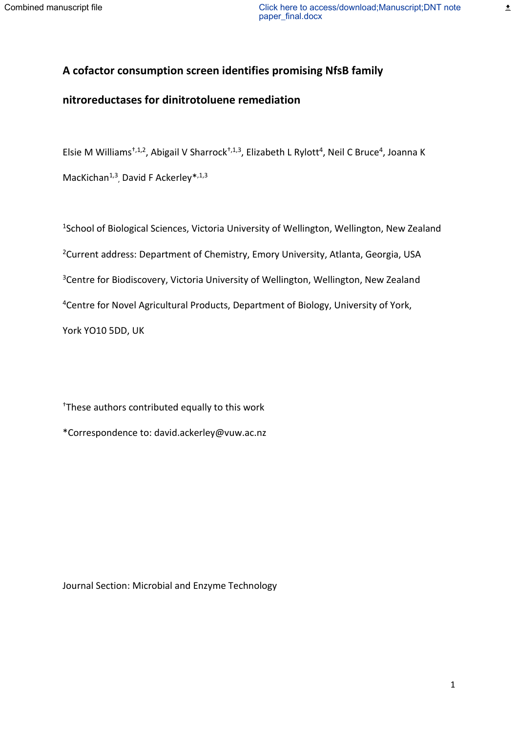$\equiv$ 

# **A cofactor consumption screen identifies promising NfsB family**

## **nitroreductases for dinitrotoluene remediation**

Elsie M Williams<sup>+,1,2</sup>, Abigail V Sharrock<sup>+,1,3</sup>, Elizabeth L Rylott<sup>4</sup>, Neil C Bruce<sup>4</sup>, Joanna K MacKichan<sup>1,3</sup>, David F Ackerley\*,<sup>1,3</sup>

<sup>1</sup>School of Biological Sciences, Victoria University of Wellington, Wellington, New Zealand <sup>2</sup>Current address: Department of Chemistry, Emory University, Atlanta, Georgia, USA <sup>3</sup> Centre for Biodiscovery, Victoria University of Wellington, Wellington, New Zealand <sup>4</sup>Centre for Novel Agricultural Products, Department of Biology, University of York, York YO10 5DD, UK

†These authors contributed equally to this work \*Correspondence to: david.ackerley@vuw.ac.nz

Journal Section: Microbial and Enzyme Technology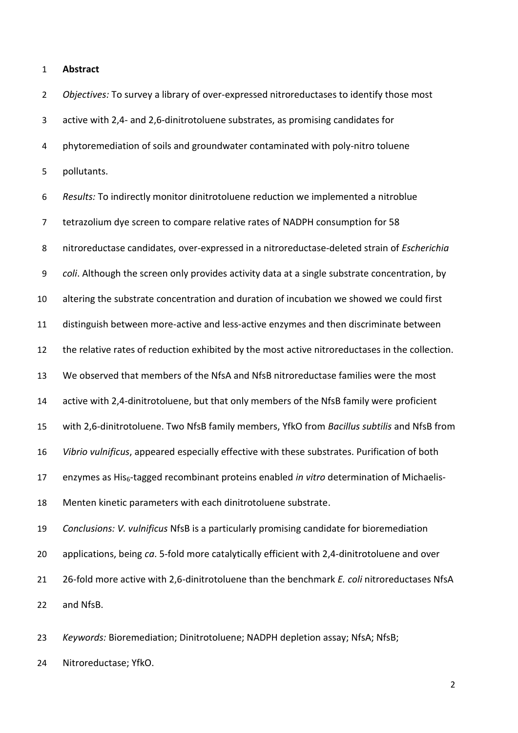#### **Abstract**

*Objectives:* To survey a library of over-expressed nitroreductases to identify those most active with 2,4- and 2,6-dinitrotoluene substrates, as promising candidates for phytoremediation of soils and groundwater contaminated with poly-nitro toluene pollutants. *Results:* To indirectly monitor dinitrotoluene reduction we implemented a nitroblue tetrazolium dye screen to compare relative rates of NADPH consumption for 58 nitroreductase candidates, over-expressed in a nitroreductase-deleted strain of *Escherichia coli*. Although the screen only provides activity data at a single substrate concentration, by altering the substrate concentration and duration of incubation we showed we could first distinguish between more-active and less-active enzymes and then discriminate between the relative rates of reduction exhibited by the most active nitroreductases in the collection. We observed that members of the NfsA and NfsB nitroreductase families were the most active with 2,4-dinitrotoluene, but that only members of the NfsB family were proficient with 2,6-dinitrotoluene. Two NfsB family members, YfkO from *Bacillus subtilis* and NfsB from *Vibrio vulnificus*, appeared especially effective with these substrates. Purification of both 17 enzymes as His<sub>6</sub>-tagged recombinant proteins enabled *in vitro* determination of Michaelis- Menten kinetic parameters with each dinitrotoluene substrate. *Conclusions: V. vulnificus* NfsB is a particularly promising candidate for bioremediation applications, being *ca*. 5-fold more catalytically efficient with 2,4-dinitrotoluene and over 26-fold more active with 2,6-dinitrotoluene than the benchmark *E. coli* nitroreductases NfsA and NfsB.

 *Keywords:* Bioremediation; Dinitrotoluene; NADPH depletion assay; NfsA; NfsB; Nitroreductase; YfkO.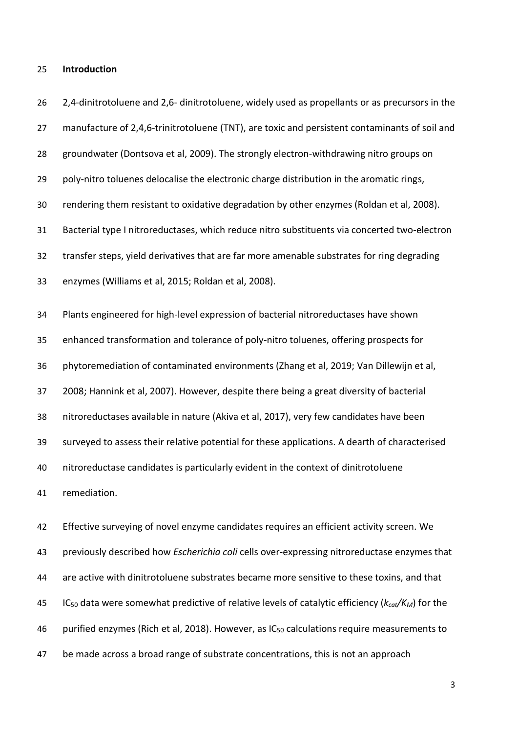#### **Introduction**

 2,4-dinitrotoluene and 2,6- dinitrotoluene, widely used as propellants or as precursors in the manufacture of 2,4,6-trinitrotoluene (TNT), are toxic and persistent contaminants of soil and groundwater (Dontsova et al, 2009). The strongly electron-withdrawing nitro groups on 29 poly-nitro toluenes delocalise the electronic charge distribution in the aromatic rings, rendering them resistant to oxidative degradation by other enzymes (Roldan et al, 2008). Bacterial type I nitroreductases, which reduce nitro substituents via concerted two-electron transfer steps, yield derivatives that are far more amenable substrates for ring degrading enzymes (Williams et al, 2015; Roldan et al, 2008). Plants engineered for high-level expression of bacterial nitroreductases have shown enhanced transformation and tolerance of poly-nitro toluenes, offering prospects for phytoremediation of contaminated environments (Zhang et al, 2019; Van Dillewijn et al, 2008; Hannink et al, 2007). However, despite there being a great diversity of bacterial nitroreductases available in nature (Akiva et al, 2017), very few candidates have been surveyed to assess their relative potential for these applications. A dearth of characterised nitroreductase candidates is particularly evident in the context of dinitrotoluene remediation.

 Effective surveying of novel enzyme candidates requires an efficient activity screen. We previously described how *Escherichia coli* cells over-expressing nitroreductase enzymes that are active with dinitrotoluene substrates became more sensitive to these toxins, and that IC50 data were somewhat predictive of relative levels of catalytic efficiency (*kcat/KM*) for the 46 purified enzymes (Rich et al, 2018). However, as  $IC_{50}$  calculations require measurements to be made across a broad range of substrate concentrations, this is not an approach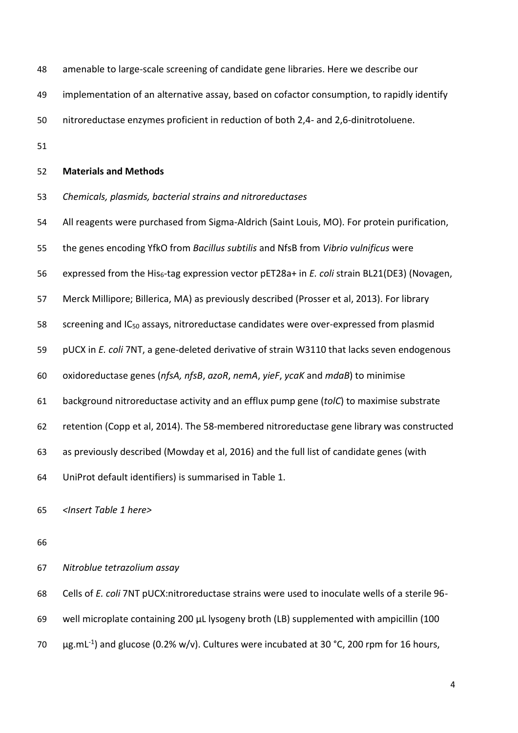| 48 | amenable to large-scale screening of candidate gene libraries. Here we describe our               |
|----|---------------------------------------------------------------------------------------------------|
| 49 | implementation of an alternative assay, based on cofactor consumption, to rapidly identify        |
| 50 | nitroreductase enzymes proficient in reduction of both 2,4- and 2,6-dinitrotoluene.               |
| 51 |                                                                                                   |
| 52 | <b>Materials and Methods</b>                                                                      |
| 53 | Chemicals, plasmids, bacterial strains and nitroreductases                                        |
| 54 | All reagents were purchased from Sigma-Aldrich (Saint Louis, MO). For protein purification,       |
| 55 | the genes encoding YfkO from Bacillus subtilis and NfsB from Vibrio vulnificus were               |
| 56 | expressed from the His6-tag expression vector pET28a+ in E. coli strain BL21(DE3) (Novagen,       |
| 57 | Merck Millipore; Billerica, MA) as previously described (Prosser et al, 2013). For library        |
| 58 | screening and IC <sub>50</sub> assays, nitroreductase candidates were over-expressed from plasmid |
| 59 | pUCX in E. coli 7NT, a gene-deleted derivative of strain W3110 that lacks seven endogenous        |
| 60 | oxidoreductase genes (nfsA, nfsB, azoR, nemA, yieF, ycaK and mdaB) to minimise                    |
| 61 | background nitroreductase activity and an efflux pump gene (tolC) to maximise substrate           |
| 62 | retention (Copp et al, 2014). The 58-membered nitroreductase gene library was constructed         |
| 63 | as previously described (Mowday et al, 2016) and the full list of candidate genes (with           |
| 64 | UniProt default identifiers) is summarised in Table 1.                                            |
| 65 | <insert 1="" here="" table=""></insert>                                                           |

*Nitroblue tetrazolium assay*

 Cells of *E. coli* 7NT pUCX:nitroreductase strains were used to inoculate wells of a sterile 96- well microplate containing 200 μL lysogeny broth (LB) supplemented with ampicillin (100  $70 \mu$ g.mL<sup>-1</sup>) and glucose (0.2% w/v). Cultures were incubated at 30 °C, 200 rpm for 16 hours,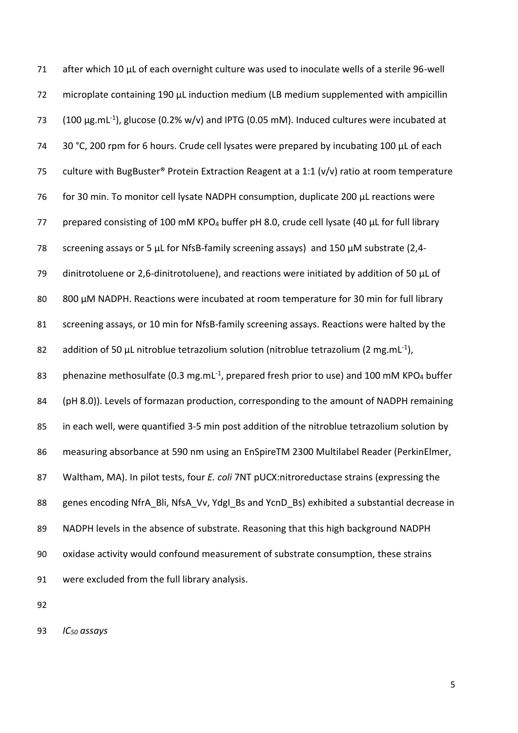after which 10 μL of each overnight culture was used to inoculate wells of a sterile 96-well microplate containing 190 μL induction medium (LB medium supplemented with ampicillin 73 (100  $\mu$ g.mL<sup>-1</sup>), glucose (0.2% w/v) and IPTG (0.05 mM). Induced cultures were incubated at 30 °C, 200 rpm for 6 hours. Crude cell lysates were prepared by incubating 100 µL of each culture with BugBuster® Protein Extraction Reagent at a 1:1 (v/v) ratio at room temperature for 30 min. To monitor cell lysate NADPH consumption, duplicate 200 μL reactions were prepared consisting of 100 mM KPO4 buffer pH 8.0, crude cell lysate (40 μL for full library screening assays or 5 µL for NfsB-family screening assays) and 150 μM substrate (2,4- dinitrotoluene or 2,6-dinitrotoluene), and reactions were initiated by addition of 50 μL of 800 μM NADPH. Reactions were incubated at room temperature for 30 min for full library screening assays, or 10 min for NfsB-family screening assays. Reactions were halted by the 82 addition of 50 μL nitroblue tetrazolium solution (nitroblue tetrazolium (2 mg.mL<sup>-1</sup>), 83 phenazine methosulfate (0.3 mg.mL<sup>-1</sup>, prepared fresh prior to use) and 100 mM KPO<sub>4</sub> buffer (pH 8.0)). Levels of formazan production, corresponding to the amount of NADPH remaining in each well, were quantified 3-5 min post addition of the nitroblue tetrazolium solution by measuring absorbance at 590 nm using an EnSpireTM 2300 Multilabel Reader (PerkinElmer, Waltham, MA). In pilot tests, four *E. coli* 7NT pUCX:nitroreductase strains (expressing the 88 genes encoding NfrA Bli, NfsA Vv, YdgI Bs and YcnD Bs) exhibited a substantial decrease in NADPH levels in the absence of substrate. Reasoning that this high background NADPH oxidase activity would confound measurement of substrate consumption, these strains were excluded from the full library analysis.

*IC50 assays*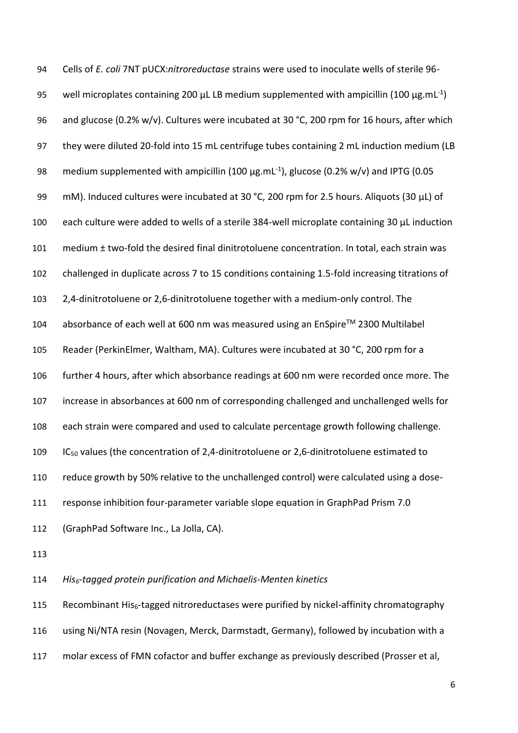Cells of *E. coli* 7NT pUCX:*nitroreductase* strains were used to inoculate wells of sterile 96- 95 well microplates containing 200 μL LB medium supplemented with ampicillin (100 μg.mL<sup>-1</sup>) 96 and glucose (0.2% w/v). Cultures were incubated at 30 °C, 200 rpm for 16 hours, after which they were diluted 20-fold into 15 mL centrifuge tubes containing 2 mL induction medium (LB 98 medium supplemented with ampicillin (100  $\mu$ g.mL<sup>-1</sup>), glucose (0.2% w/v) and IPTG (0.05 mM). Induced cultures were incubated at 30 °C, 200 rpm for 2.5 hours. Aliquots (30 μL) of each culture were added to wells of a sterile 384-well microplate containing 30 μL induction medium ± two-fold the desired final dinitrotoluene concentration. In total, each strain was challenged in duplicate across 7 to 15 conditions containing 1.5-fold increasing titrations of 2,4-dinitrotoluene or 2,6-dinitrotoluene together with a medium-only control. The 104 absorbance of each well at 600 nm was measured using an EnSpire™ 2300 Multilabel Reader (PerkinElmer, Waltham, MA). Cultures were incubated at 30 °C, 200 rpm for a further 4 hours, after which absorbance readings at 600 nm were recorded once more. The increase in absorbances at 600 nm of corresponding challenged and unchallenged wells for each strain were compared and used to calculate percentage growth following challenge. 109 IC<sub>50</sub> values (the concentration of 2,4-dinitrotoluene or 2,6-dinitrotoluene estimated to reduce growth by 50% relative to the unchallenged control) were calculated using a dose- response inhibition four-parameter variable slope equation in GraphPad Prism 7.0 (GraphPad Software Inc., La Jolla, CA). 

*His6-tagged protein purification and Michaelis-Menten kinetics* 

115 Recombinant His<sub>6</sub>-tagged nitroreductases were purified by nickel-affinity chromatography using Ni/NTA resin (Novagen, Merck, Darmstadt, Germany), followed by incubation with a molar excess of FMN cofactor and buffer exchange as previously described (Prosser et al,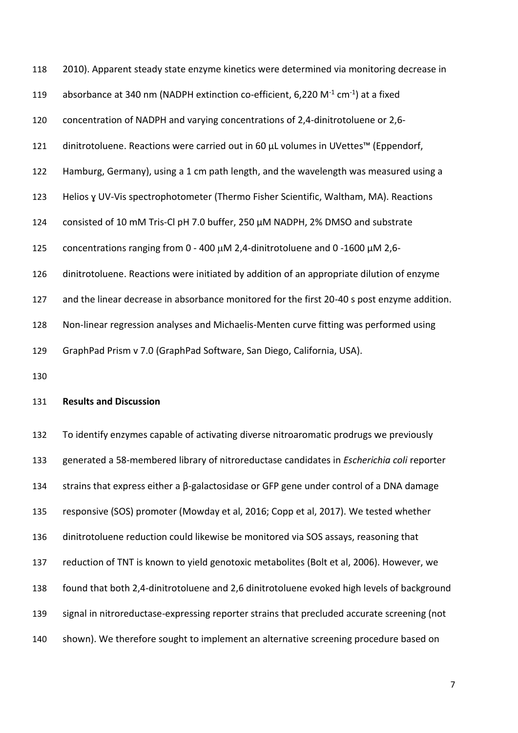2010). Apparent steady state enzyme kinetics were determined via monitoring decrease in 119 absorbance at 340 nm (NADPH extinction co-efficient, 6,220 M<sup>-1</sup> cm<sup>-1</sup>) at a fixed concentration of NADPH and varying concentrations of 2,4-dinitrotoluene or 2,6- dinitrotoluene. Reactions were carried out in 60 µL volumes in UVettes™ (Eppendorf, Hamburg, Germany), using a 1 cm path length, and the wavelength was measured using a 123 Helios y UV-Vis spectrophotometer (Thermo Fisher Scientific, Waltham, MA). Reactions consisted of 10 mM Tris-Cl pH 7.0 buffer, 250 µM NADPH, 2% DMSO and substrate 125 concentrations ranging from  $0 - 400 \mu M$  2,4-dinitrotoluene and 0-1600  $\mu$ M 2,6- dinitrotoluene. Reactions were initiated by addition of an appropriate dilution of enzyme and the linear decrease in absorbance monitored for the first 20-40 s post enzyme addition. Non-linear regression analyses and Michaelis-Menten curve fitting was performed using GraphPad Prism v 7.0 (GraphPad Software, San Diego, California, USA). 

## **Results and Discussion**

 To identify enzymes capable of activating diverse nitroaromatic prodrugs we previously generated a 58-membered library of nitroreductase candidates in *Escherichia coli* reporter strains that express either a β-galactosidase or GFP gene under control of a DNA damage responsive (SOS) promoter (Mowday et al, 2016; Copp et al, 2017). We tested whether dinitrotoluene reduction could likewise be monitored via SOS assays, reasoning that reduction of TNT is known to yield genotoxic metabolites (Bolt et al, 2006). However, we found that both 2,4-dinitrotoluene and 2,6 dinitrotoluene evoked high levels of background signal in nitroreductase-expressing reporter strains that precluded accurate screening (not shown). We therefore sought to implement an alternative screening procedure based on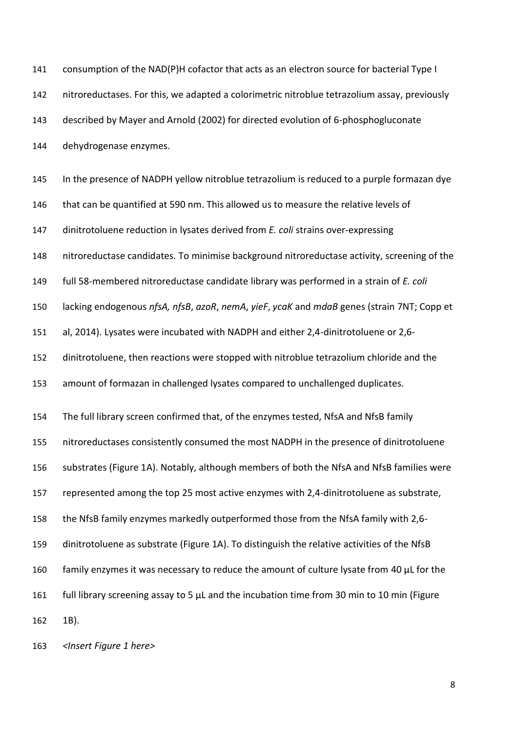| 141 | consumption of the NAD(P)H cofactor that acts as an electron source for bacterial Type I     |
|-----|----------------------------------------------------------------------------------------------|
| 142 | nitroreductases. For this, we adapted a colorimetric nitroblue tetrazolium assay, previously |
| 143 | described by Mayer and Arnold (2002) for directed evolution of 6-phosphogluconate            |
| 144 | dehydrogenase enzymes.                                                                       |
| 145 | In the presence of NADPH yellow nitroblue tetrazolium is reduced to a purple formazan dye    |
| 146 | that can be quantified at 590 nm. This allowed us to measure the relative levels of          |
| 147 | dinitrotoluene reduction in lysates derived from E. coli strains over-expressing             |
| 148 | nitroreductase candidates. To minimise background nitroreductase activity, screening of the  |
| 149 | full 58-membered nitroreductase candidate library was performed in a strain of E. coli       |
| 150 | lacking endogenous nfsA, nfsB, azoR, nemA, yieF, ycaK and mdaB genes (strain 7NT; Copp et    |
| 151 | al, 2014). Lysates were incubated with NADPH and either 2,4-dinitrotoluene or 2,6-           |
| 152 | dinitrotoluene, then reactions were stopped with nitroblue tetrazolium chloride and the      |
| 153 | amount of formazan in challenged lysates compared to unchallenged duplicates.                |
| 154 | The full library screen confirmed that, of the enzymes tested, NfsA and NfsB family          |
| 155 | nitroreductases consistently consumed the most NADPH in the presence of dinitrotoluene       |
| 156 | substrates (Figure 1A). Notably, although members of both the NfsA and NfsB families were    |
| 157 | represented among the top 25 most active enzymes with 2,4-dinitrotoluene as substrate,       |
| 158 | the NfsB family enzymes markedly outperformed those from the NfsA family with 2,6-           |
| 159 | dinitrotoluene as substrate (Figure 1A). To distinguish the relative activities of the NfsB  |
| 160 | family enzymes it was necessary to reduce the amount of culture lysate from 40 µL for the    |
| 161 | full library screening assay to 5 µL and the incubation time from 30 min to 10 min (Figure   |
| 162 | 1B).                                                                                         |
| 163 | <insert 1="" figure="" here=""></insert>                                                     |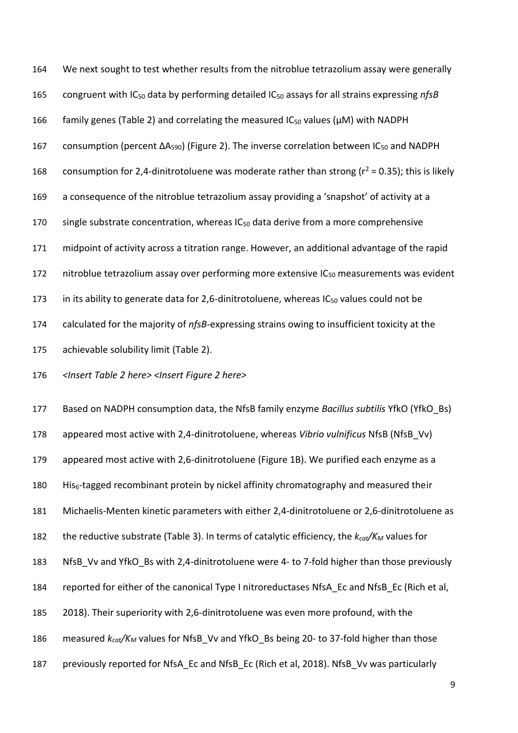We next sought to test whether results from the nitroblue tetrazolium assay were generally congruent with IC50 data by performing detailed IC50 assays for all strains expressing *nfsB* 166 family genes (Table 2) and correlating the measured  $IC_{50}$  values ( $\mu$ M) with NADPH 167 consumption (percent ΔA<sub>590</sub>) (Figure 2). The inverse correlation between IC<sub>50</sub> and NADPH 168 consumption for 2,4-dinitrotoluene was moderate rather than strong ( $r^2$  = 0.35); this is likely a consequence of the nitroblue tetrazolium assay providing a 'snapshot' of activity at a 170 single substrate concentration, whereas  $IC_{50}$  data derive from a more comprehensive midpoint of activity across a titration range. However, an additional advantage of the rapid 172 nitroblue tetrazolium assay over performing more extensive IC<sub>50</sub> measurements was evident 173 in its ability to generate data for 2,6-dinitrotoluene, whereas IC<sub>50</sub> values could not be calculated for the majority of *nfsB*-expressing strains owing to insufficient toxicity at the achievable solubility limit (Table 2).

*<Insert Table 2 here> <Insert Figure 2 here>*

 Based on NADPH consumption data, the NfsB family enzyme *Bacillus subtilis* YfkO (YfkO\_Bs) appeared most active with 2,4-dinitrotoluene, whereas *Vibrio vulnificus* NfsB (NfsB\_Vv) appeared most active with 2,6-dinitrotoluene (Figure 1B). We purified each enzyme as a 180 His<sub>6</sub>-tagged recombinant protein by nickel affinity chromatography and measured their Michaelis-Menten kinetic parameters with either 2,4-dinitrotoluene or 2,6-dinitrotoluene as the reductive substrate (Table 3). In terms of catalytic efficiency, the *kcat/KM* values for 183 NfsB Vv and YfkO Bs with 2,4-dinitrotoluene were 4- to 7-fold higher than those previously reported for either of the canonical Type I nitroreductases NfsA\_Ec and NfsB\_Ec (Rich et al, 2018). Their superiority with 2,6-dinitrotoluene was even more profound, with the measured *kcat/KM* values for NfsB\_Vv and YfkO\_Bs being 20- to 37-fold higher than those 187 previously reported for NfsA Ec and NfsB Ec (Rich et al, 2018). NfsB Vv was particularly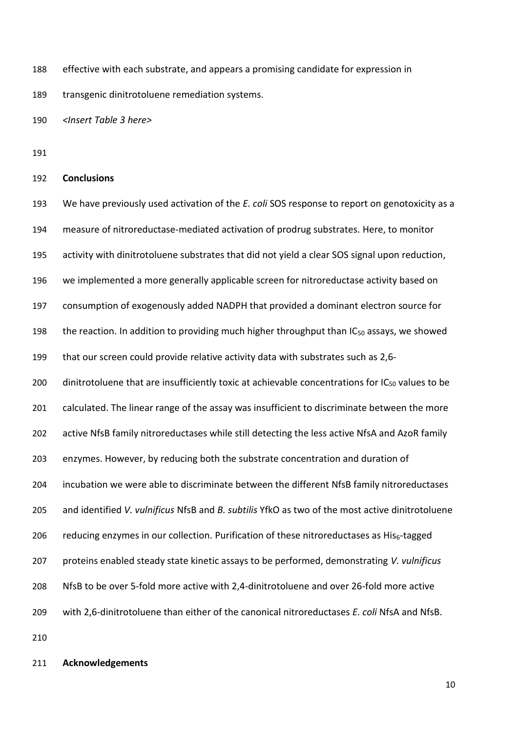effective with each substrate, and appears a promising candidate for expression in

transgenic dinitrotoluene remediation systems.

*<Insert Table 3 here>* 

#### **Conclusions**

 We have previously used activation of the *E. coli* SOS response to report on genotoxicity as a measure of nitroreductase-mediated activation of prodrug substrates. Here, to monitor activity with dinitrotoluene substrates that did not yield a clear SOS signal upon reduction, we implemented a more generally applicable screen for nitroreductase activity based on consumption of exogenously added NADPH that provided a dominant electron source for 198 the reaction. In addition to providing much higher throughput than  $IC_{50}$  assays, we showed that our screen could provide relative activity data with substrates such as 2,6- 200 dinitrotoluene that are insufficiently toxic at achievable concentrations for IC<sub>50</sub> values to be calculated. The linear range of the assay was insufficient to discriminate between the more active NfsB family nitroreductases while still detecting the less active NfsA and AzoR family enzymes. However, by reducing both the substrate concentration and duration of incubation we were able to discriminate between the different NfsB family nitroreductases and identified *V. vulnificus* NfsB and *B. subtilis* YfkO as two of the most active dinitrotoluene 206 reducing enzymes in our collection. Purification of these nitroreductases as His-tagged proteins enabled steady state kinetic assays to be performed, demonstrating *V. vulnificus*  NfsB to be over 5-fold more active with 2,4-dinitrotoluene and over 26-fold more active with 2,6-dinitrotoluene than either of the canonical nitroreductases *E. coli* NfsA and NfsB. 

#### **Acknowledgements**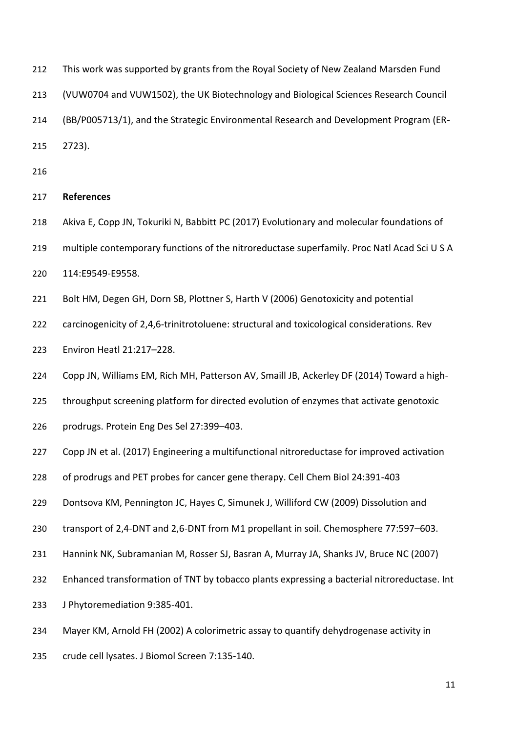- This work was supported by grants from the Royal Society of New Zealand Marsden Fund
- (VUW0704 and VUW1502), the UK Biotechnology and Biological Sciences Research Council
- (BB/P005713/1), and the Strategic Environmental Research and Development Program (ER-
- 2723).
- 

### **References**

- Akiva E, Copp JN, Tokuriki N, Babbitt PC (2017) Evolutionary and molecular foundations of
- multiple contemporary functions of the nitroreductase superfamily. Proc Natl Acad Sci U S A
- 114:E9549-E9558.
- 221 Bolt HM, Degen GH, Dorn SB, Plottner S, Harth V (2006) Genotoxicity and potential
- carcinogenicity of 2,4,6-trinitrotoluene: structural and toxicological considerations. Rev
- Environ Heatl 21:217–228.
- Copp JN, Williams EM, Rich MH, Patterson AV, Smaill JB, Ackerley DF (2014) Toward a high-
- 225 throughput screening platform for directed evolution of enzymes that activate genotoxic
- prodrugs. Protein Eng Des Sel 27:399–403.
- Copp JN et al. (2017) Engineering a multifunctional nitroreductase for improved activation
- of prodrugs and PET probes for cancer gene therapy. Cell Chem Biol 24:391-403
- Dontsova KM, Pennington JC, Hayes C, Simunek J, Williford CW (2009) Dissolution and
- transport of 2,4-DNT and 2,6-DNT from M1 propellant in soil. Chemosphere 77:597–603.
- Hannink NK, Subramanian M, Rosser SJ, Basran A, Murray JA, Shanks JV, Bruce NC (2007)
- Enhanced transformation of TNT by tobacco plants expressing a bacterial nitroreductase. Int
- J Phytoremediation 9:385-401.
- Mayer KM, Arnold FH (2002) A colorimetric assay to quantify dehydrogenase activity in
- crude cell lysates. J Biomol Screen 7:135-140.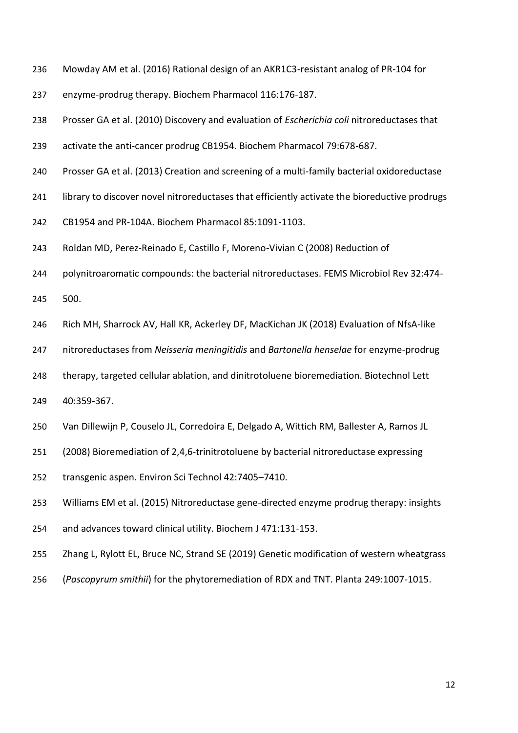- Mowday AM et al. (2016) Rational design of an AKR1C3-resistant analog of PR-104 for
- enzyme-prodrug therapy. Biochem Pharmacol 116:176-187.
- Prosser GA et al. (2010) Discovery and evaluation of *Escherichia coli* nitroreductases that
- activate the anti-cancer prodrug CB1954. Biochem Pharmacol 79:678-687.
- Prosser GA et al. (2013) Creation and screening of a multi-family bacterial oxidoreductase
- 241 library to discover novel nitroreductases that efficiently activate the bioreductive prodrugs
- CB1954 and PR-104A. Biochem Pharmacol 85:1091-1103.
- Roldan MD, Perez-Reinado E, Castillo F, Moreno-Vivian C (2008) Reduction of
- polynitroaromatic compounds: the bacterial nitroreductases. FEMS Microbiol Rev 32:474-
- 500.
- Rich MH, Sharrock AV, Hall KR, Ackerley DF, MacKichan JK (2018) Evaluation of NfsA-like
- nitroreductases from *Neisseria meningitidis* and *Bartonella henselae* for enzyme-prodrug
- 248 therapy, targeted cellular ablation, and dinitrotoluene bioremediation. Biotechnol Lett
- 40:359-367.
- Van Dillewijn P, Couselo JL, Corredoira E, Delgado A, Wittich RM, Ballester A, Ramos JL
- (2008) Bioremediation of 2,4,6-trinitrotoluene by bacterial nitroreductase expressing
- transgenic aspen. Environ Sci Technol 42:7405–7410.
- Williams EM et al. (2015) Nitroreductase gene-directed enzyme prodrug therapy: insights
- and advances toward clinical utility. Biochem J 471:131-153.
- Zhang L, Rylott EL, Bruce NC, Strand SE (2019) Genetic modification of western wheatgrass
- (*Pascopyrum smithii*) for the phytoremediation of RDX and TNT. Planta 249:1007-1015.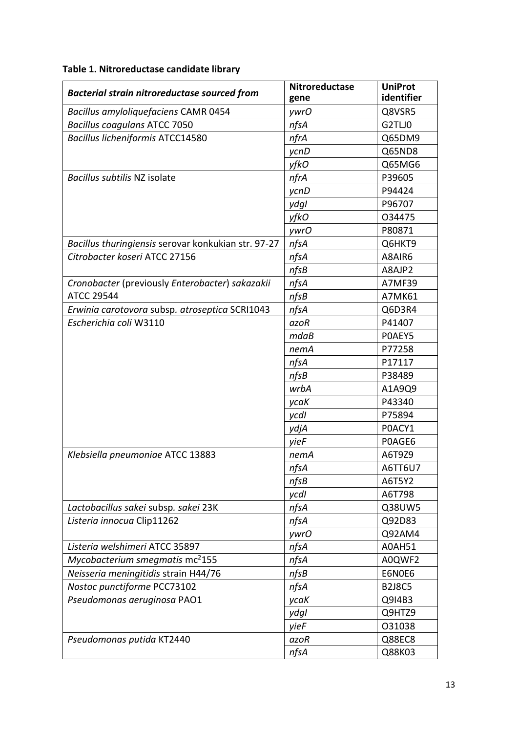# **Table 1. Nitroreductase candidate library**

| <b>Bacterial strain nitroreductase sourced from</b>                                  | <b>Nitroreductase</b><br>gene | <b>UniProt</b><br>identifier |
|--------------------------------------------------------------------------------------|-------------------------------|------------------------------|
| Bacillus amyloliquefaciens CAMR 0454                                                 | ywrO                          | Q8VSR5                       |
| <b>Bacillus coagulans ATCC 7050</b>                                                  | nfsA                          | G2TLJ0                       |
| <b>Bacillus licheniformis ATCC14580</b>                                              | nfrA                          | Q65DM9                       |
|                                                                                      | ycnD                          | Q65ND8                       |
|                                                                                      | yfkO                          | Q65MG6                       |
| Bacillus subtilis NZ isolate                                                         | nfrA                          | P39605                       |
|                                                                                      | ycnD                          | P94424                       |
|                                                                                      | ydgl                          | P96707                       |
|                                                                                      | yfkO                          | 034475                       |
|                                                                                      |                               | P80871                       |
|                                                                                      | ywrO                          |                              |
| Bacillus thuringiensis serovar konkukian str. 97-27<br>Citrobacter koseri ATCC 27156 | nfsA                          | Q6HKT9                       |
|                                                                                      | nfsA                          | A8AIR6                       |
|                                                                                      | nfsB                          | A8AJP2                       |
| Cronobacter (previously Enterobacter) sakazakii<br><b>ATCC 29544</b>                 | nfsA                          | A7MF39                       |
|                                                                                      | nfsB                          | A7MK61                       |
| Erwinia carotovora subsp. atroseptica SCRI1043                                       | nfsA                          | Q6D3R4                       |
| Escherichia coli W3110                                                               | azoR                          | P41407                       |
|                                                                                      | mdaB                          | POAEY5                       |
|                                                                                      | nemA                          | P77258                       |
|                                                                                      | nfsA                          | P17117                       |
|                                                                                      | nfsB                          | P38489                       |
|                                                                                      | wrbA                          | A1A9Q9                       |
|                                                                                      | ycaK                          | P43340                       |
|                                                                                      | ycdl                          | P75894                       |
|                                                                                      | ydjA                          | POACY1                       |
|                                                                                      | yieF                          | POAGE6                       |
| Klebsiella pneumoniae ATCC 13883                                                     | nemA                          | A6T9Z9                       |
|                                                                                      | n∫sA                          | A6TT6U7                      |
|                                                                                      | nfsB                          | A6T5Y2                       |
|                                                                                      | ycdl                          | A6T798                       |
| Lactobacillus sakei subsp. sakei 23K                                                 | nfsA                          | Q38UW5                       |
| Listeria innocua Clip11262                                                           | nfsA                          | Q92D83                       |
|                                                                                      | ywrO                          | Q92AM4                       |
| Listeria welshimeri ATCC 35897                                                       | nfsA                          | A0AH51                       |
| Mycobacterium smegmatis mc <sup>2</sup> 155                                          | nfsA                          | A0QWF2                       |
| Neisseria meningitidis strain H44/76                                                 | nfsB                          | E6N0E6                       |
| Nostoc punctiforme PCC73102                                                          | nfsA                          | <b>B2J8C5</b>                |
| Pseudomonas aeruginosa PAO1                                                          | ycaK                          | Q9I4B3                       |
|                                                                                      | ydgl                          | Q9HTZ9                       |
|                                                                                      | yieF                          | 031038                       |
| Pseudomonas putida KT2440                                                            | azoR                          | <b>Q88EC8</b>                |
|                                                                                      | nfsA                          | Q88K03                       |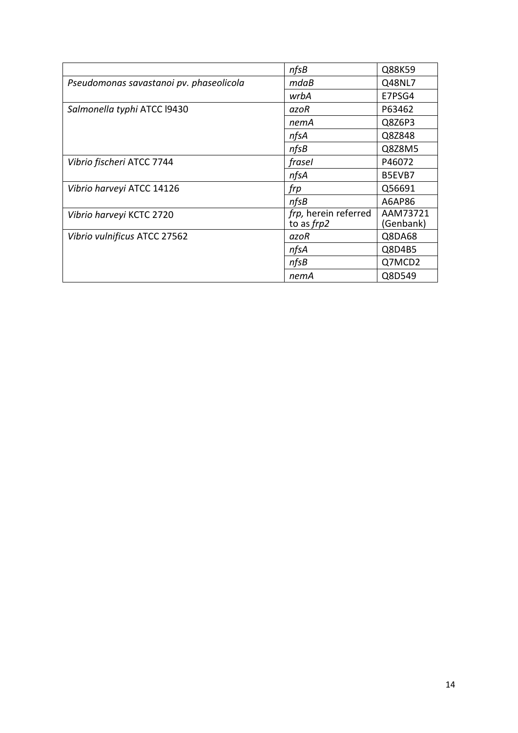|                                         | nfsB                               | Q88K59                |
|-----------------------------------------|------------------------------------|-----------------------|
| Pseudomonas savastanoi pv. phaseolicola | mdaB                               | Q48NL7                |
|                                         | wrbA                               | E7PSG4                |
| Salmonella typhi ATCC 19430             | azoR                               | P63462                |
|                                         | nemA                               | Q8Z6P3                |
|                                         | nfsA                               | Q8Z848                |
|                                         | nfsB                               | Q8Z8M5                |
| Vibrio fischeri ATCC 7744               | frasel                             | P46072                |
|                                         | nfsA                               | B5EVB7                |
| Vibrio harveyi ATCC 14126               | frp                                | Q56691                |
|                                         | nfsB                               | A6AP86                |
| Vibrio harveyi KCTC 2720                | frp, herein referred<br>to as frp2 | AAM73721<br>(Genbank) |
| Vibrio vulnificus ATCC 27562            | azoR                               | Q8DA68                |
|                                         | nfsA                               | Q8D4B5                |
|                                         | nfsB                               | Q7MCD2                |
|                                         | nemA                               | Q8D549                |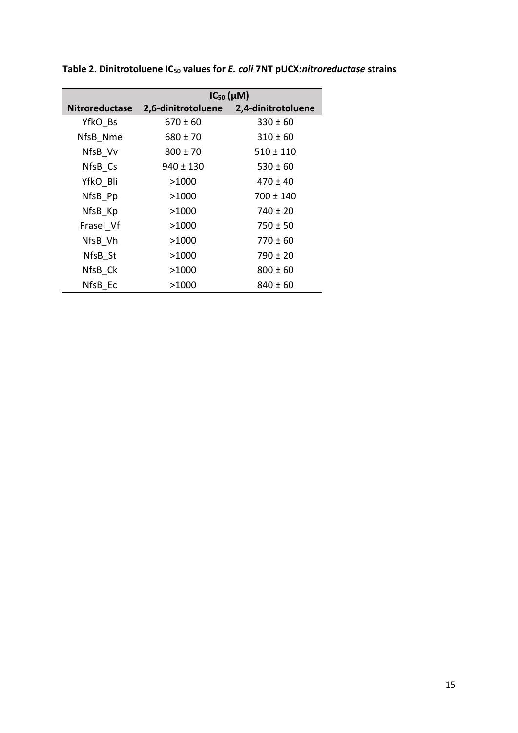|                       | $IC_{50}(\mu M)$                      |               |  |  |
|-----------------------|---------------------------------------|---------------|--|--|
| <b>Nitroreductase</b> | 2,6-dinitrotoluene 2,4-dinitrotoluene |               |  |  |
| YfkO Bs               | 670 ± 60                              | $330 \pm 60$  |  |  |
| NfsB Nme              | $680 \pm 70$                          | $310 \pm 60$  |  |  |
| NfsB Vv               | $800 \pm 70$                          | 510 ± 110     |  |  |
| NfsB Cs               | 940 ± 130                             | $530 \pm 60$  |  |  |
| YfkO Bli              | >1000                                 | $470 \pm 40$  |  |  |
| NfsB Pp               | >1000                                 | $700 \pm 140$ |  |  |
| NfsB Kp               | >1000                                 | $740 \pm 20$  |  |  |
| Frasel Vf             | >1000                                 | $750 \pm 50$  |  |  |
| NfsB Vh               | >1000                                 | $770 \pm 60$  |  |  |
| NfsB St               | >1000<br>$790 \pm 20$                 |               |  |  |
| NfsB Ck               | >1000                                 | $800 \pm 60$  |  |  |
| NfsB Ec               | >1000                                 | 840 ± 60      |  |  |

**Table 2. Dinitrotoluene IC50 values for** *E. coli* **7NT pUCX:***nitroreductase* **strains**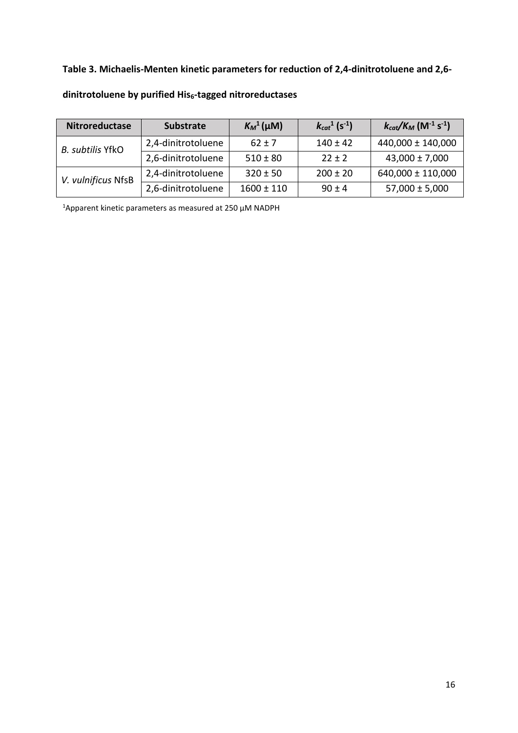# **Table 3. Michaelis-Menten kinetic parameters for reduction of 2,4-dinitrotoluene and 2,6-**

| <b>Nitroreductase</b>   | <b>Substrate</b>   | $K_M^1(\mu M)$ | $k_{cat}^{1}$ (s <sup>-1</sup> ) | $k_{cat}/K_M$ (M <sup>-1</sup> s <sup>-1</sup> ) |
|-------------------------|--------------------|----------------|----------------------------------|--------------------------------------------------|
| <b>B.</b> subtilis YfkO | 2,4-dinitrotoluene | $62 \pm 7$     | $140 \pm 42$                     | $440,000 \pm 140,000$                            |
|                         | 2,6-dinitrotoluene | $510 \pm 80$   | $22 + 2$                         | $43,000 \pm 7,000$                               |
| V. vulnificus NfsB      | 2,4-dinitrotoluene | $320 \pm 50$   | $200 \pm 20$                     | $640,000 \pm 110,000$                            |
|                         | 2,6-dinitrotoluene | $1600 \pm 110$ | $90 + 4$                         | $57,000 \pm 5,000$                               |

# **dinitrotoluene by purified His6-tagged nitroreductases**

<sup>1</sup>Apparent kinetic parameters as measured at 250  $\mu$ M NADPH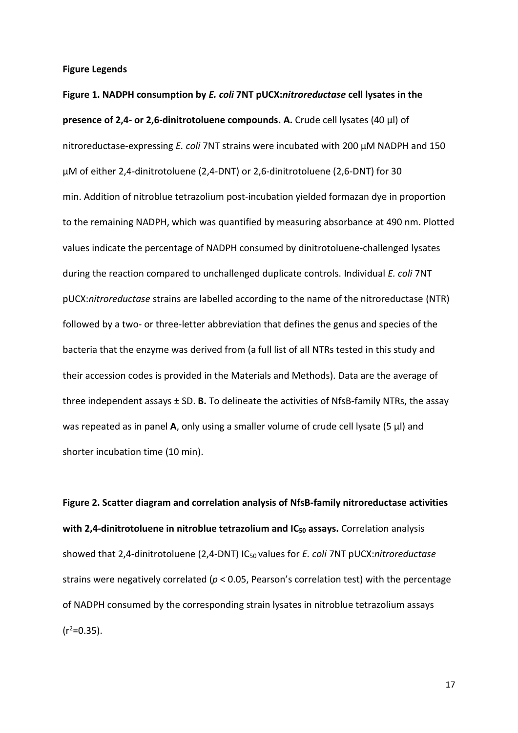**Figure Legends** 

**Figure 1. NADPH consumption by** *E. coli* **7NT pUCX:***nitroreductase* **cell lysates in the presence of 2,4- or 2,6-dinitrotoluene compounds. A.** Crude cell lysates (40 µl) of nitroreductase-expressing *E. coli* 7NT strains were incubated with 200 µM NADPH and 150 µM of either 2,4-dinitrotoluene (2,4-DNT) or 2,6-dinitrotoluene (2,6-DNT) for 30 min. Addition of nitroblue tetrazolium post-incubation yielded formazan dye in proportion to the remaining NADPH, which was quantified by measuring absorbance at 490 nm. Plotted values indicate the percentage of NADPH consumed by dinitrotoluene-challenged lysates during the reaction compared to unchallenged duplicate controls. Individual *E. coli* 7NT pUCX:*nitroreductase* strains are labelled according to the name of the nitroreductase (NTR) followed by a two- or three-letter abbreviation that defines the genus and species of the bacteria that the enzyme was derived from (a full list of all NTRs tested in this study and their accession codes is provided in the Materials and Methods). Data are the average of three independent assays ± SD. **B.** To delineate the activities of NfsB-family NTRs, the assay was repeated as in panel **A**, only using a smaller volume of crude cell lysate (5 µl) and shorter incubation time (10 min).

**Figure 2. Scatter diagram and correlation analysis of NfsB-family nitroreductase activities with 2,4-dinitrotoluene in nitroblue tetrazolium and IC50 assays.** Correlation analysis showed that 2,4-dinitrotoluene (2,4-DNT) IC50 values for *E. coli* 7NT pUCX:*nitroreductase*  strains were negatively correlated (*p* < 0.05, Pearson's correlation test) with the percentage of NADPH consumed by the corresponding strain lysates in nitroblue tetrazolium assays  $(r^2=0.35)$ .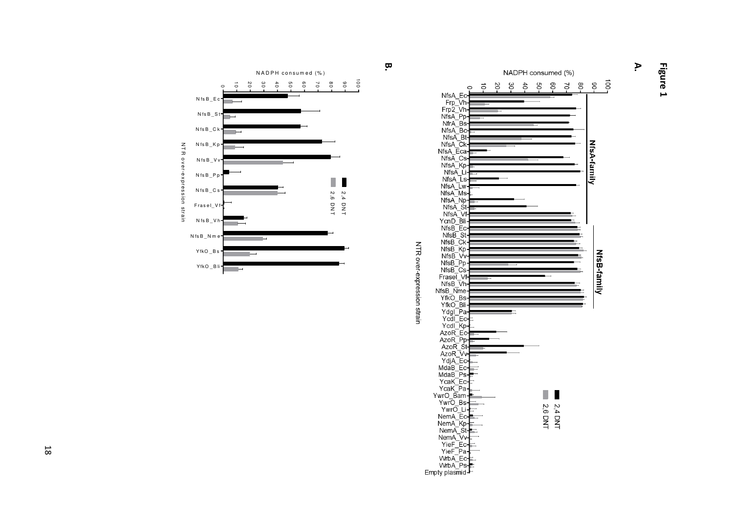Figure 1

 $\geq$ 

NADPH consumed (%)  $\vec{e}$  $rac{4}{\sqrt{2}}$ g<br>O ၉၀ 20 δg  $\sim$ 80 8  $\vec{0}$  $\Omega$ NfsA\_Eo Frp\_Vh<br>Frp2\_Vh NfsA\_Pp<br>NfrA\_Bs<br>NfrA\_Bs<br>NfsA\_Bc **NfsA-family** NTR over-expression strain **NfsB-family** Frasel Vf<br>
MfsB\_Vm<br>
MfsB\_Vm<br>
MfsB\_Vm<br>
YfkO\_BBi<br>
YfkO\_BBi<br>
Ydd\_Ecc-<br>
Ydd\_Ecc-<br>
Ydd\_Ecc-<br>
Ydd\_Ecc-<br>
XzoR\_Pp<br>
AzoR\_Pp<br>
AzoR\_Pp<br>
AzoR\_Pp<br>
AzoR\_Pp<br>
AzoR\_Pp<br>
AzoR\_Pp<br>
AzoR\_Pp<br>
NdaB\_Ecc-<br>
YddaB\_Ecc-<br>
YddaB\_Ps<br>
YcaK\_Ecc-<br>
YddaB\_Ps **2,6 DNT**  $124$  DNT



ā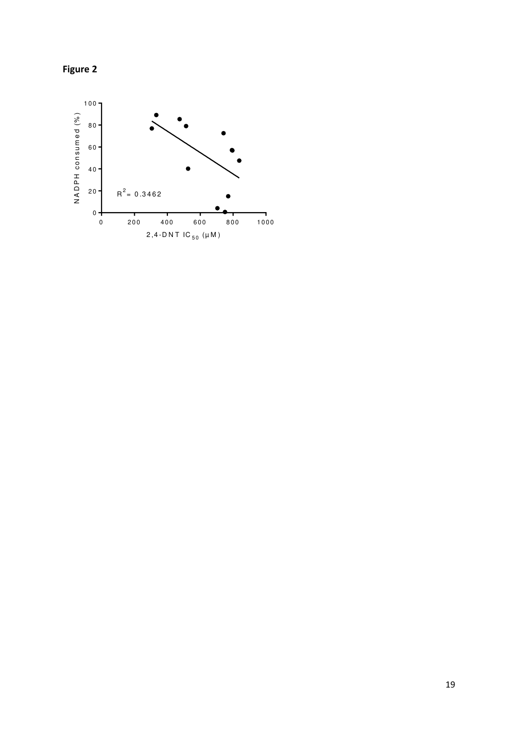

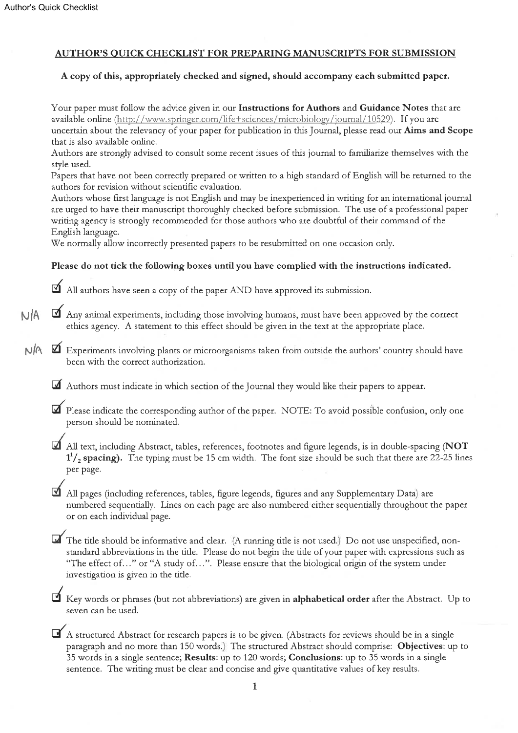## **AUTHOR'S QUICK CHECKLIST FOR PREPARING MANUSCRIPTS FOR SUBMISSION**

### A copy of this, appropriately checked and signed, should accompany each submitted paper.

Your paper must follow the advice given in our Instructions for Authors and Guidance Notes that are available online (http://www.springer.com/life+sciences/microbiology/journal/10529). If you are uncertain about the relevancy of your paper for publication in this Journal, please read our Aims and Scope that is also available online.

Authors are strongly advised to consult some recent issues of this journal to familiarize themselves with the style used.

Papers that have not been correctly prepared or written to a high standard of English will be returned to the authors for revision without scientific evaluation.

Authors whose first language is not English and may be inexperienced in writing for an international journal are urged to have their manuscript thoroughly checked before submission. The use of a professional paper writing agency is strongly recommended for those authors who are doubtful of their command of the English language.

We normally allow incorrectly presented papers to be resubmitted on one occasion only.

### Please do not tick the following boxes until you have complied with the instructions indicated.

All authors have seen a copy of the paper AND have approved its submission.

- **NIA**  $\Box$  Any animal experiments, including those involving humans, must have been approved by the correct ethics agency. A statement to this effect should be given in the text at the appropriate place.
- $N/R$ Experiments involving plants or microorganisms taken from outside the authors' country should have been with the correct authorization.

Authors must indicate in which section of the Journal they would like their papers to appear.

Please indicate the corresponding author of the paper. NOTE: To avoid possible confusion, only one person should be nominated.

All text, including Abstract, tables, references, footnotes and figure legends, is in double-spacing (NOT  $1^{1}/_{2}$  spacing). The typing must be 15 cm width. The font size should be such that there are 22-25 lines per page.

All pages (including references, tables, figure legends, figures and any Supplementary Data) are numbered sequentially. Lines on each page are also numbered either sequentially throughout the paper or on each individual page.

The title should be informative and clear. (A running title is not used.) Do not use unspecified, nonstandard abbreviations in the title. Please do not begin the title of your paper with expressions such as "The effect of..." or "A study of...". Please ensure that the biological origin of the system under investigation is given in the title.

Key words or phrases (but not abbreviations) are given in alphabetical order after the Abstract. Up to seven can be used.

A structured Abstract for research papers is to be given. (Abstracts for reviews should be in a single paragraph and no more than 150 words.) The structured Abstract should comprise: Objectives: up to 35 words in a single sentence; Results: up to 120 words; Conclusions: up to 35 words in a single sentence. The writing must be clear and concise and give quantitative values of key results.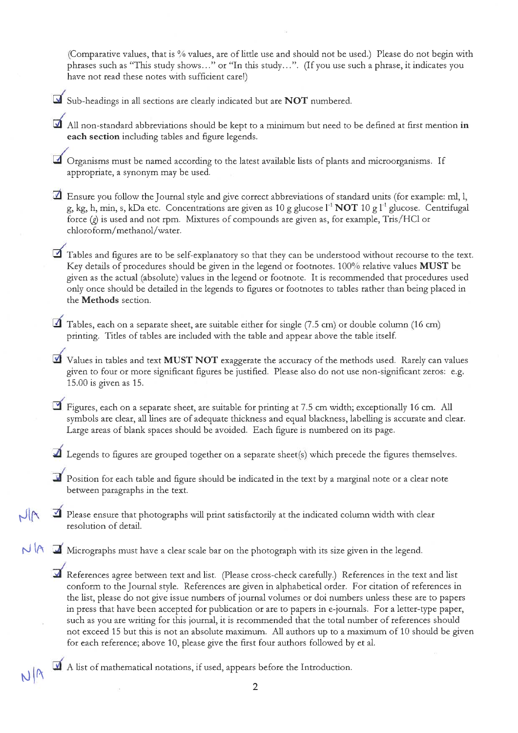(Comparative values, that is % values, are of little use and should not be used.) Please do not begin with phrases such as "This study shows..." or "In this study...". (If you use such a phrase, it indicates you have not read these notes with sufficient care!)

- Sub-headings in all sections are clearly indicated but are NOT numbered.
- $\blacksquare$  All non-standard abbreviations should be kept to a minimum but need to be defined at first mention in each section including tables and figure legends.
- Organisms must be named according to the latest available lists of plants and microorganisms. If appropriate, a synonym may be used.
- $\Box$  Ensure you follow the Journal style and give correct abbreviations of standard units (for example: ml, l, g, kg, h, min, s, kDa etc. Concentrations are given as 10 g glucose  $I<sup>1</sup> NOT 10 g I<sup>-1</sup> glucose. Centrifugal$ force  $(p)$  is used and not rpm. Mixtures of compounds are given as, for example, Tris/HCl or chloroform/methanol/water.
- Tables and figures are to be self-explanatory so that they can be understood without recourse to the text. Key details of procedures should be given in the legend or footnotes. 100% relative values MUST be given as the actual (absolute) values in the legend or footnote. It is recommended that procedures used only once should be detailed in the legends to figures or footnotes to tables rather than being placed in the Methods section.
- $\Box$  Tables, each on a separate sheet, are suitable either for single (7.5 cm) or double column (16 cm) printing. Titles of tables are included with the table and appear above the table itself.
- Values in tables and text MUST NOT exaggerate the accuracy of the methods used. Rarely can values given to four or more significant figures be justified. Please also do not use non-significant zeros: e.g. 15.00 is given as 15.
- Figures, each on a separate sheet, are suitable for printing at 7.5 cm width; exceptionally 16 cm. All symbols are clear, all lines are of adequate thickness and equal blackness, labelling is accurate and clear. Large areas of blank spaces should be avoided. Each figure is numbered on its page.
- $\blacksquare$  Legends to figures are grouped together on a separate sheet(s) which precede the figures themselves.
- Position for each table and figure should be indicated in the text by a marginal note or a clear note between paragraphs in the text.
- $\blacksquare$  Please ensure that photographs will print satisfactorily at the indicated column width with clear NA resolution of detail.
- $\bigcup_{i=1}^n A_i$  Micrographs must have a clear scale bar on the photograph with its size given in the legend.
	- References agree between text and list. (Please cross-check carefully.) References in the text and list conform to the Journal style. References are given in alphabetical order. For citation of references in the list, please do not give issue numbers of journal volumes or doi numbers unless these are to papers in press that have been accepted for publication or are to papers in e-journals. For a letter-type paper, such as you are writing for this journal, it is recommended that the total number of references should not exceed 15 but this is not an absolute maximum. All authors up to a maximum of 10 should be given for each reference; above 10, please give the first four authors followed by et al.



NR

 $\overline{2}$